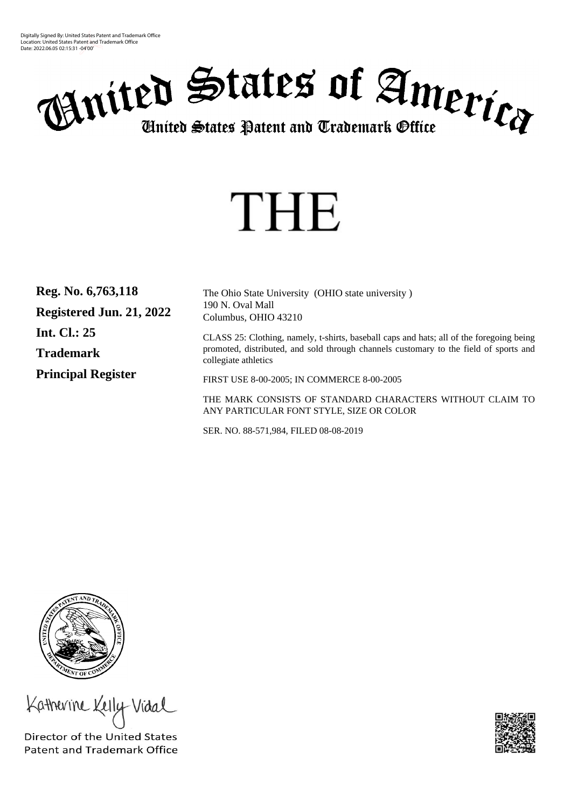Digitally Signed By: United States Patent and Trademark Office Location: United States Patent and Trademark Office Date: 2022.06.05 02:15:31 -04'00'



# THE

| Reg. No. 6,763,118        | The Ohio State University (OHIO state university)                                                             |
|---------------------------|---------------------------------------------------------------------------------------------------------------|
| Registered Jun. 21, 2022  | 190 N. Oval Mall<br>Columbus, OHIO 43210                                                                      |
| <b>Int. Cl.: 25</b>       | CLASS 25: Clothing, namely, t-shirts, baseball caps and hats; all of the foregoing being                      |
| <b>Trademark</b>          | promoted, distributed, and sold through channels customary to the field of sports and<br>collegiate athletics |
| <b>Principal Register</b> | FIRST USE 8-00-2005; IN COMMERCE 8-00-2005                                                                    |
|                           | THE MARK CONSISTS OF STANDARD CHARACTERS WITHOUT CLAIM TO<br>ANY PARTICULAR FONT STYLE, SIZE OR COLOR         |

SER. NO. 88-571,984, FILED 08-08-2019



Katherine Kelly Vidal

Director of the United States **Patent and Trademark Office**